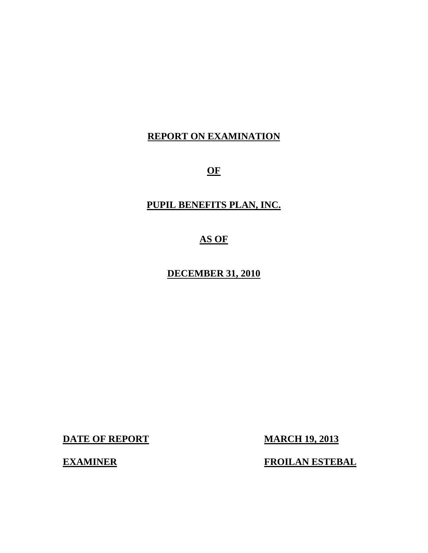# **REPORT ON EXAMINATION**

**OF** 

# **PUPIL BENEFITS PLAN, INC.**

# **AS OF**

# **DECEMBER 31, 2010**

**DATE OF REPORT MARCH 19, 2013** 

**EXAMINER FROILAN ESTEBAL**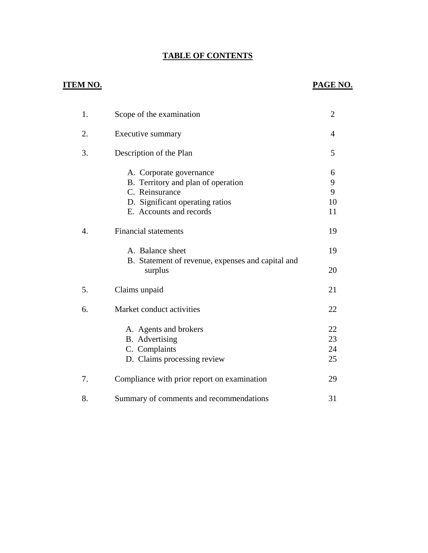# **TABLE OF CONTENTS** TABLE OF CONTENTS<br>ITEM NO. **PAGE NO.**

# **ITEM NO.**

| 1. | Scope of the examination                                     | 2  |
|----|--------------------------------------------------------------|----|
| 2. | Executive summary                                            | 4  |
| 3. | Description of the Plan                                      | 5  |
|    | A. Corporate governance                                      | 6  |
|    | B. Territory and plan of operation                           | 9  |
|    | C. Reinsurance                                               | 9  |
|    | D. Significant operating ratios                              | 10 |
|    | E. Accounts and records                                      | 11 |
| 4. | <b>Financial statements</b>                                  | 19 |
|    | A. Balance sheet                                             | 19 |
|    | B. Statement of revenue, expenses and capital and<br>surplus | 20 |
| 5. | Claims unpaid                                                | 21 |
| 6. | Market conduct activities                                    | 22 |
|    | A. Agents and brokers                                        | 22 |
|    | B. Advertising                                               | 23 |
|    | C. Complaints                                                | 24 |
|    | D. Claims processing review                                  | 25 |
| 7. | Compliance with prior report on examination                  | 29 |
| 8. | Summary of comments and recommendations                      | 31 |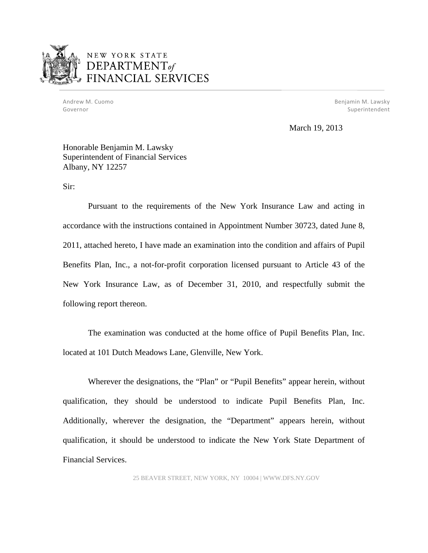

Andrew M. Cuomo Governor

M. Cuomo **Benjamin M. Lawsky** Superintendent

March 19, 2013

#### Honorable Benjamin M. Lawsky Superintendent of Financial Services Albany, NY 12257

Sir:

Pursuant to the requirements of the New York Insurance Law and acting in accordance with the instructions contained in Appointment Number 30723, dated June 8, 2011, attached hereto, I have made an examination into the condition and affairs of Pupil Benefits Plan, Inc., a not-for-profit corporation licensed pursuant to Article 43 of the New York Insurance Law, as of December 31, 2010, and respectfully submit the following report thereon.

The examination was conducted at the home office of Pupil Benefits Plan, Inc. located at 101 Dutch Meadows Lane, Glenville, New York.

Wherever the designations, the "Plan" or "Pupil Benefits" appear herein, without qualification, they should be understood to indicate Pupil Benefits Plan, Inc. Additionally, wherever the designation, the "Department" appears herein, without qualification, it should be understood to indicate the New York State Department of Financial Services.

25 BEAVER STREET, NEW YORK, NY 10004 | <WWW.DFS.NY.GOV>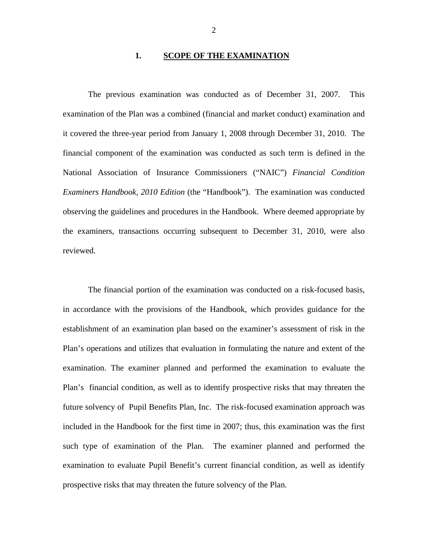#### **1. SCOPE OF THE EXAMINATION**

The previous examination was conducted as of December 31, 2007. This examination of the Plan was a combined (financial and market conduct) examination and it covered the three-year period from January 1, 2008 through December 31, 2010. The financial component of the examination was conducted as such term is defined in the National Association of Insurance Commissioners ("NAIC") *Financial Condition Examiners Handbook, 2010 Edition* (the "Handbook"). The examination was conducted observing the guidelines and procedures in the Handbook. Where deemed appropriate by the examiners, transactions occurring subsequent to December 31, 2010, were also reviewed.

The financial portion of the examination was conducted on a risk-focused basis, in accordance with the provisions of the Handbook, which provides guidance for the establishment of an examination plan based on the examiner's assessment of risk in the Plan's operations and utilizes that evaluation in formulating the nature and extent of the examination. The examiner planned and performed the examination to evaluate the Plan's financial condition, as well as to identify prospective risks that may threaten the future solvency of Pupil Benefits Plan, Inc. The risk-focused examination approach was included in the Handbook for the first time in 2007; thus, this examination was the first such type of examination of the Plan. The examiner planned and performed the examination to evaluate Pupil Benefit's current financial condition, as well as identify prospective risks that may threaten the future solvency of the Plan.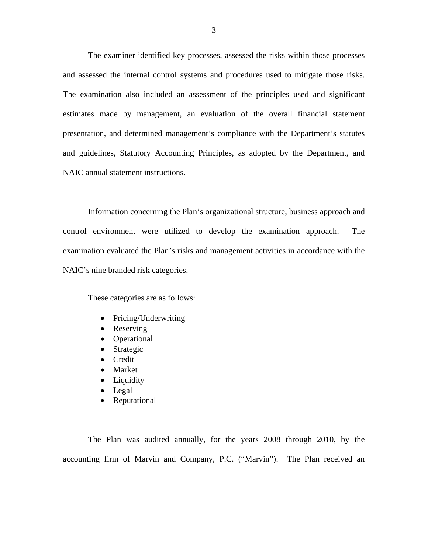The examiner identified key processes, assessed the risks within those processes and assessed the internal control systems and procedures used to mitigate those risks. The examination also included an assessment of the principles used and significant estimates made by management, an evaluation of the overall financial statement presentation, and determined management's compliance with the Department's statutes and guidelines, Statutory Accounting Principles, as adopted by the Department, and NAIC annual statement instructions.

Information concerning the Plan's organizational structure, business approach and control environment were utilized to develop the examination approach. The examination evaluated the Plan's risks and management activities in accordance with the NAIC's nine branded risk categories.

These categories are as follows:

- Pricing/Underwriting
- Reserving
- Operational
- Strategic
- Credit
- Market
- Liquidity
- Legal
- Reputational

The Plan was audited annually, for the years 2008 through 2010, by the accounting firm of Marvin and Company, P.C. ("Marvin"). The Plan received an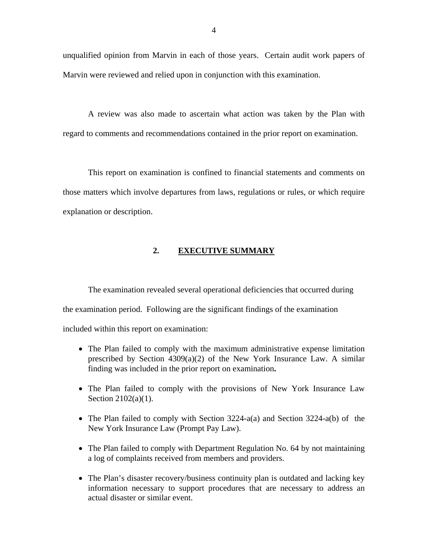unqualified opinion from Marvin in each of those years. Certain audit work papers of Marvin were reviewed and relied upon in conjunction with this examination.

A review was also made to ascertain what action was taken by the Plan with regard to comments and recommendations contained in the prior report on examination.

This report on examination is confined to financial statements and comments on those matters which involve departures from laws, regulations or rules, or which require explanation or description.

#### **2. EXECUTIVE SUMMARY**

The examination revealed several operational deficiencies that occurred during the examination period. Following are the significant findings of the examination included within this report on examination:

- The Plan failed to comply with the maximum administrative expense limitation prescribed by Section 4309(a)(2) of the New York Insurance Law. A similar finding was included in the prior report on examination**.**
- The Plan failed to comply with the provisions of New York Insurance Law Section 2102(a)(1).
- The Plan failed to comply with Section 3224-a(a) and Section 3224-a(b) of the New York Insurance Law (Prompt Pay Law).
- The Plan failed to comply with Department Regulation No. 64 by not maintaining a log of complaints received from members and providers.
- The Plan's disaster recovery/business continuity plan is outdated and lacking key information necessary to support procedures that are necessary to address an actual disaster or similar event.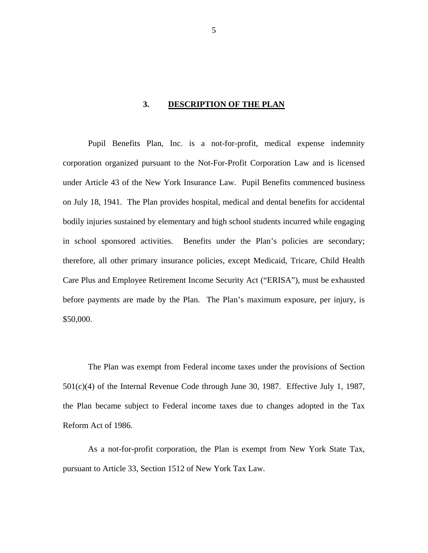#### **3. DESCRIPTION OF THE PLAN**

<span id="page-6-0"></span>Pupil Benefits Plan, Inc. is a not-for-profit, medical expense indemnity corporation organized pursuant to the Not-For-Profit Corporation Law and is licensed under Article 43 of the New York Insurance Law. Pupil Benefits commenced business on July 18, 1941. The Plan provides hospital, medical and dental benefits for accidental bodily injuries sustained by elementary and high school students incurred while engaging in school sponsored activities. Benefits under the Plan's policies are secondary; therefore, all other primary insurance policies, except Medicaid, Tricare, Child Health Care Plus and Employee Retirement Income Security Act ("ERISA"), must be exhausted before payments are made by the Plan. The Plan's maximum exposure, per injury, is \$50,000.

The Plan was exempt from Federal income taxes under the provisions of Section 501(c)(4) of the Internal Revenue Code through June 30, 1987. Effective July 1, 1987, the Plan became subject to Federal income taxes due to changes adopted in the Tax Reform Act of 1986.

As a not-for-profit corporation, the Plan is exempt from New York State Tax, pursuant to Article 33, Section 1512 of New York Tax Law.

5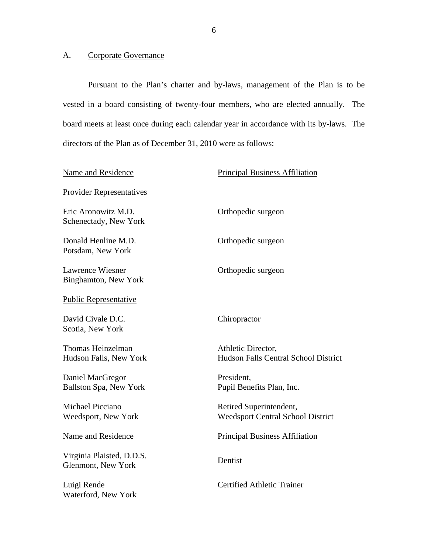### <span id="page-7-0"></span>A. Corporate Governance

Pursuant to the Plan's charter and by-laws, management of the Plan is to be vested in a board consisting of twenty-four members, who are elected annually. The board meets at least once during each calendar year in accordance with its by-laws. The directors of the Plan as of December 31, 2010 were as follows:

| Name and Residence                                     | <b>Principal Business Affiliation</b>                               |
|--------------------------------------------------------|---------------------------------------------------------------------|
| <b>Provider Representatives</b>                        |                                                                     |
| Eric Aronowitz M.D.<br>Schenectady, New York           | Orthopedic surgeon                                                  |
| Donald Henline M.D.<br>Potsdam, New York               | Orthopedic surgeon                                                  |
| <b>Lawrence Wiesner</b><br><b>Binghamton, New York</b> | Orthopedic surgeon                                                  |
| <b>Public Representative</b>                           |                                                                     |
| David Civale D.C.<br>Scotia, New York                  | Chiropractor                                                        |
| Thomas Heinzelman<br>Hudson Falls, New York            | Athletic Director,<br>Hudson Falls Central School District          |
| Daniel MacGregor<br><b>Ballston Spa, New York</b>      | President,<br>Pupil Benefits Plan, Inc.                             |
| <b>Michael Picciano</b><br>Weedsport, New York         | Retired Superintendent,<br><b>Weedsport Central School District</b> |
| Name and Residence                                     | <b>Principal Business Affiliation</b>                               |
| Virginia Plaisted, D.D.S.<br>Glenmont, New York        | Dentist                                                             |
| Luigi Rende<br>Waterford, New York                     | <b>Certified Athletic Trainer</b>                                   |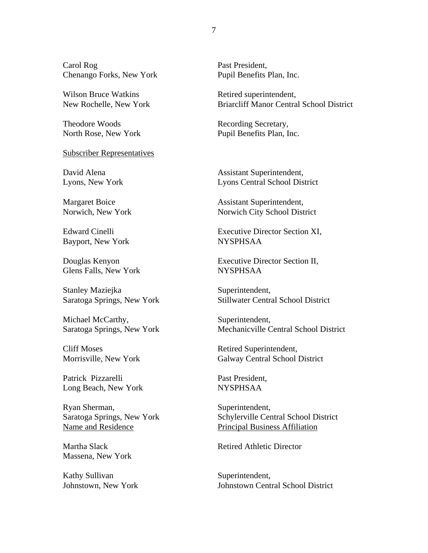Carol Rog Past President, Chenango Forks, New York Pupil Benefits Plan, Inc.

Wilson Bruce Watkins Retired superintendent,

Theodore Woods Recording Secretary,

Subscriber Representatives<br>
David Alena **David Alena** Assistant Superintendent,

Bayport, New York NYSPHSAA

Glens Falls, New York NYSPHSAA

Stanley Maziejka Superintendent,

Michael McCarthy, Superintendent,

Patrick Pizzarelli Past President. Long Beach, New York NYSPHSAA

Ryan Sherman, Superintendent,

Massena, New York

Kathy Sullivan Superintendent,

New Rochelle, New York Briarcliff Manor Central School District

North Rose, New York Pupil Benefits Plan, Inc.

Lyons, New York Lyons Central School District

Margaret Boice Assistant Superintendent, Norwich, New York Norwich City School District

Edward Cinelli Executive Director Section XI,

Douglas Kenyon Executive Director Section II,

Saratoga Springs, New York Stillwater Central School District

Saratoga Springs, New York Mechanicville Central School District

Cliff Moses Retired Superintendent, Morrisville, New York Galway Central School District

Saratoga Springs, New York Schylerville Central School District Name and Residence Principal Business Affiliation

Martha Slack Retired Athletic Director

Johnstown, New York Johnstown Central School District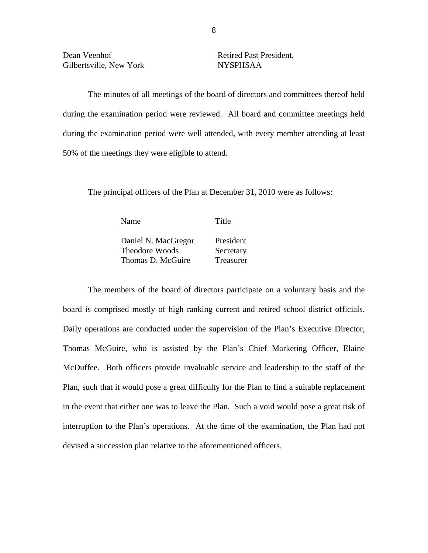The minutes of all meetings of the board of directors and committees thereof held during the examination period were reviewed. All board and committee meetings held during the examination period were well attended, with every member attending at least 50% of the meetings they were eligible to attend.

The principal officers of the Plan at December 31, 2010 were as follows:

| Name                                         | Title                  |
|----------------------------------------------|------------------------|
| Daniel N. MacGregor<br><b>Theodore Woods</b> | President              |
| Thomas D. McGuire                            | Secretary<br>Treasurer |

The members of the board of directors participate on a voluntary basis and the board is comprised mostly of high ranking current and retired school district officials. Daily operations are conducted under the supervision of the Plan's Executive Director, Thomas McGuire, who is assisted by the Plan's Chief Marketing Officer, Elaine McDuffee. Both officers provide invaluable service and leadership to the staff of the Plan, such that it would pose a great difficulty for the Plan to find a suitable replacement in the event that either one was to leave the Plan. Such a void would pose a great risk of interruption to the Plan's operations. At the time of the examination, the Plan had not devised a succession plan relative to the aforementioned officers.

8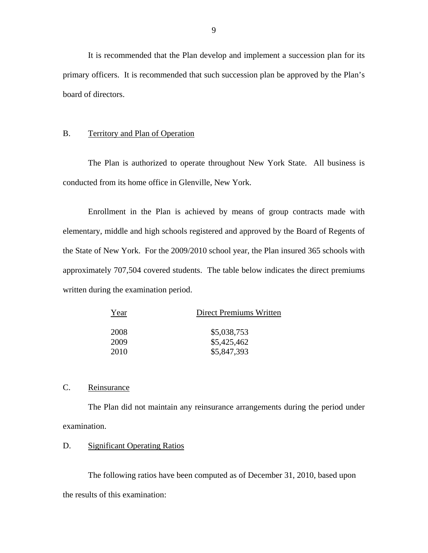<span id="page-10-0"></span>It is recommended that the Plan develop and implement a succession plan for its primary officers. It is recommended that such succession plan be approved by the Plan's board of directors.

#### B. Territory and Plan of Operation

The Plan is authorized to operate throughout New York State. All business is conducted from its home office in Glenville, New York.

Enrollment in the Plan is achieved by means of group contracts made with elementary, middle and high schools registered and approved by the Board of Regents of the State of New York. For the 2009/2010 school year, the Plan insured 365 schools with approximately 707,504 covered students. The table below indicates the direct premiums written during the examination period.

| Year | Direct Premiums Written |
|------|-------------------------|
|      |                         |
| 2008 | \$5,038,753             |
| 2009 | \$5,425,462             |
| 2010 | \$5,847,393             |

#### C. Reinsurance

The Plan did not maintain any reinsurance arrangements during the period under examination.

#### D. Significant Operating Ratios

The following ratios have been computed as of December 31, 2010, based upon the results of this examination: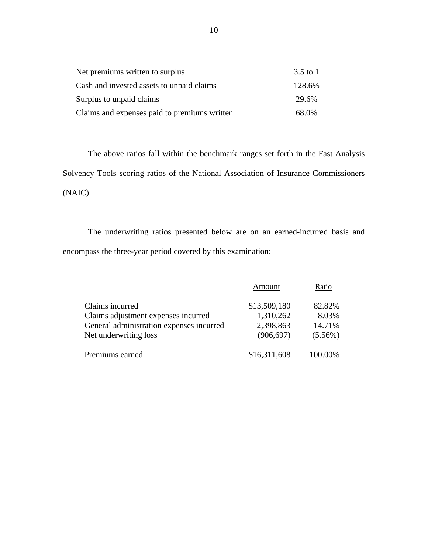| Net premiums written to surplus              | $3.5$ to 1 |
|----------------------------------------------|------------|
| Cash and invested assets to unpaid claims    | 128.6%     |
| Surplus to unpaid claims                     | 29.6%      |
| Claims and expenses paid to premiums written | 68.0%      |

The above ratios fall within the benchmark ranges set forth in the Fast Analysis Solvency Tools scoring ratios of the National Association of Insurance Commissioners (NAIC).

The underwriting ratios presented below are on an earned-incurred basis and encompass the three-year period covered by this examination:

|                                          | Amount       | Ratio      |
|------------------------------------------|--------------|------------|
| Claims incurred                          | \$13,509,180 | 82.82%     |
| Claims adjustment expenses incurred      | 1,310,262    | 8.03%      |
| General administration expenses incurred | 2,398,863    | 14.71%     |
| Net underwriting loss                    | (906, 697)   | $(5.56\%)$ |
| Premiums earned                          | \$16,311,608 |            |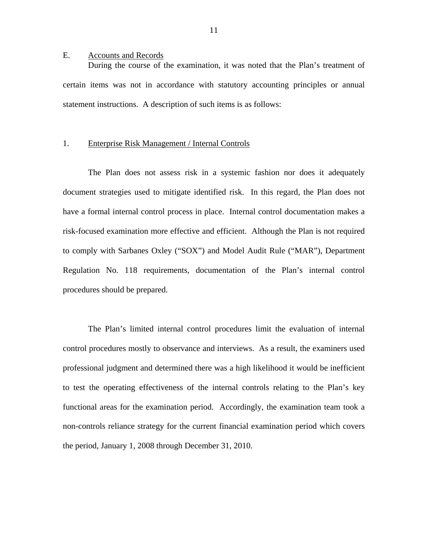#### <span id="page-12-0"></span>E. Accounts and Records

During the course of the examination, it was noted that the Plan's treatment of certain items was not in accordance with statutory accounting principles or annual statement instructions. A description of such items is as follows:

#### 1. Enterprise Risk Management / Internal Controls

The Plan does not assess risk in a systemic fashion nor does it adequately document strategies used to mitigate identified risk. In this regard, the Plan does not have a formal internal control process in place. Internal control documentation makes a risk-focused examination more effective and efficient. Although the Plan is not required to comply with Sarbanes Oxley ("SOX") and Model Audit Rule ("MAR"), Department Regulation No. 118 requirements, documentation of the Plan's internal control procedures should be prepared.

The Plan's limited internal control procedures limit the evaluation of internal control procedures mostly to observance and interviews. As a result, the examiners used professional judgment and determined there was a high likelihood it would be inefficient to test the operating effectiveness of the internal controls relating to the Plan's key functional areas for the examination period. Accordingly, the examination team took a non-controls reliance strategy for the current financial examination period which covers the period, January 1, 2008 through December 31, 2010.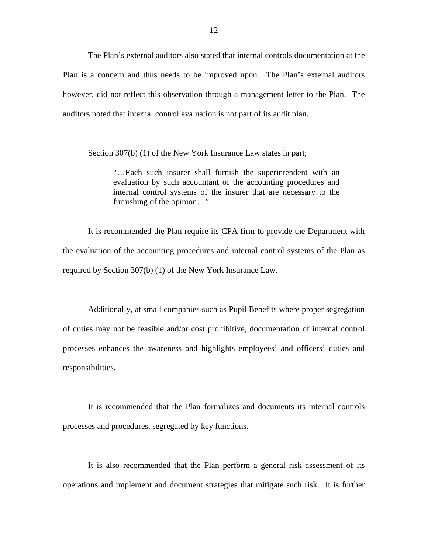The Plan's external auditors also stated that internal controls documentation at the Plan is a concern and thus needs to be improved upon. The Plan's external auditors however, did not reflect this observation through a management letter to the Plan. The auditors noted that internal control evaluation is not part of its audit plan.

Section 307(b) (1) of the New York Insurance Law states in part;

"…Each such insurer shall furnish the superintendent with an evaluation by such accountant of the accounting procedures and internal control systems of the insurer that are necessary to the furnishing of the opinion…"

It is recommended the Plan require its CPA firm to provide the Department with the evaluation of the accounting procedures and internal control systems of the Plan as required by Section 307(b) (1) of the New York Insurance Law.

Additionally, at small companies such as Pupil Benefits where proper segregation of duties may not be feasible and/or cost prohibitive, documentation of internal control processes enhances the awareness and highlights employees' and officers' duties and responsibilities.

It is recommended that the Plan formalizes and documents its internal controls processes and procedures, segregated by key functions.

It is also recommended that the Plan perform a general risk assessment of its operations and implement and document strategies that mitigate such risk. It is further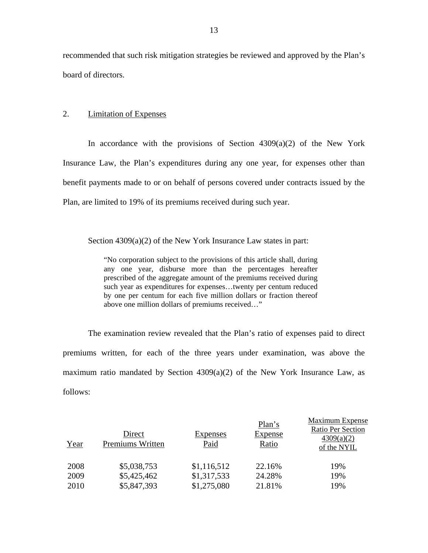recommended that such risk mitigation strategies be reviewed and approved by the Plan's board of directors.

#### 2. Limitation of Expenses

In accordance with the provisions of Section  $4309(a)(2)$  of the New York Insurance Law, the Plan's expenditures during any one year, for expenses other than benefit payments made to or on behalf of persons covered under contracts issued by the Plan, are limited to 19% of its premiums received during such year.

Section 4309(a)(2) of the New York Insurance Law states in part:

"No corporation subject to the provisions of this article shall, during any one year, disburse more than the percentages hereafter prescribed of the aggregate amount of the premiums received during such year as expenditures for expenses…twenty per centum reduced by one per centum for each five million dollars or fraction thereof above one million dollars of premiums received…"

The examination review revealed that the Plan's ratio of expenses paid to direct premiums written, for each of the three years under examination, was above the maximum ratio mandated by Section  $4309(a)(2)$  of the New York Insurance Law, as follows:

| Year | Direct<br>Premiums Written | <b>Expenses</b><br>Paid | Plan's<br><b>Expense</b><br>Ratio | Maximum Expense<br>Ratio Per Section<br>4309(a)(2)<br>of the NYIL |
|------|----------------------------|-------------------------|-----------------------------------|-------------------------------------------------------------------|
| 2008 | \$5,038,753                | \$1,116,512             | 22.16%                            | 19%                                                               |
| 2009 | \$5,425,462                | \$1,317,533             | 24.28%                            | 19%                                                               |
| 2010 | \$5,847,393                | \$1,275,080             | 21.81%                            | 19%                                                               |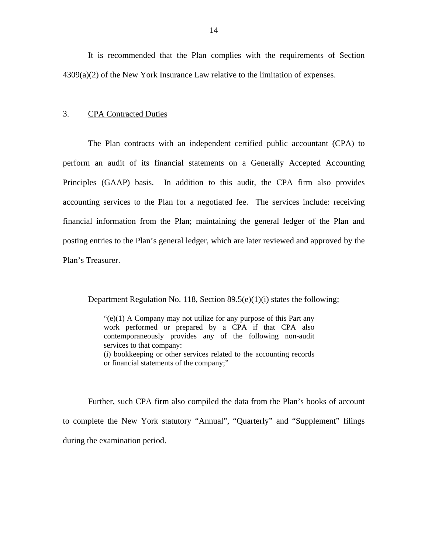It is recommended that the Plan complies with the requirements of Section 4309(a)(2) of the New York Insurance Law relative to the limitation of expenses.

#### 3. CPA Contracted Duties

The Plan contracts with an independent certified public accountant (CPA) to perform an audit of its financial statements on a Generally Accepted Accounting Principles (GAAP) basis. In addition to this audit, the CPA firm also provides accounting services to the Plan for a negotiated fee. The services include: receiving financial information from the Plan; maintaining the general ledger of the Plan and posting entries to the Plan's general ledger, which are later reviewed and approved by the Plan's Treasurer.

Department Regulation No. 118, Section 89.5(e)(1)(i) states the following;

 $\degree$ (e)(1) A Company may not utilize for any purpose of this Part any work performed or prepared by a CPA if that CPA also contemporaneously provides any of the following non-audit services to that company: (i) bookkeeping or other services related to the accounting records or financial statements of the company;"

Further, such CPA firm also compiled the data from the Plan's books of account to complete the New York statutory "Annual", "Quarterly" and "Supplement" filings during the examination period.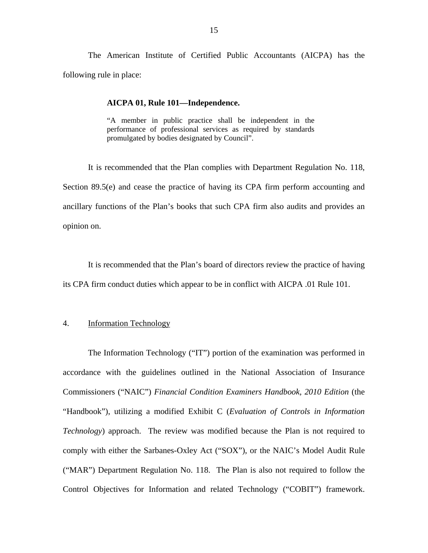The American Institute of Certified Public Accountants (AICPA) has the following rule in place:

#### **AICPA 01, Rule 101—Independence.**

"A member in public practice shall be independent in the performance of professional services as required by standards promulgated by bodies designated by Council".

It is recommended that the Plan complies with Department Regulation No. 118, Section 89.5(e) and cease the practice of having its CPA firm perform accounting and ancillary functions of the Plan's books that such CPA firm also audits and provides an opinion on.

It is recommended that the Plan's board of directors review the practice of having its CPA firm conduct duties which appear to be in conflict with AICPA .01 Rule 101.

#### 4. Information Technology

The Information Technology ("IT") portion of the examination was performed in accordance with the guidelines outlined in the National Association of Insurance Commissioners ("NAIC") *Financial Condition Examiners Handbook, 2010 Edition* (the "Handbook"), utilizing a modified Exhibit C (*Evaluation of Controls in Information Technology*) approach. The review was modified because the Plan is not required to comply with either the Sarbanes-Oxley Act ("SOX"), or the NAIC's Model Audit Rule ("MAR") Department Regulation No. 118. The Plan is also not required to follow the Control Objectives for Information and related Technology ("COBIT") framework.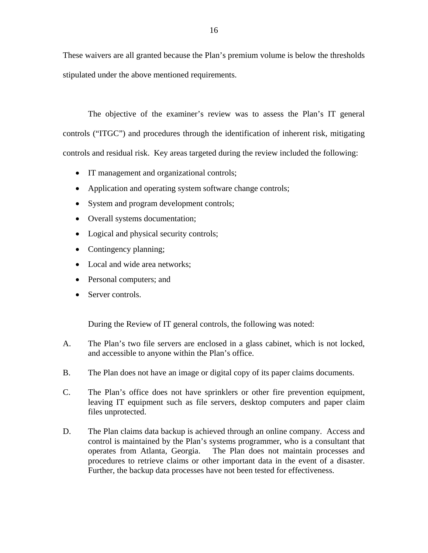These waivers are all granted because the Plan's premium volume is below the thresholds stipulated under the above mentioned requirements.

The objective of the examiner's review was to assess the Plan's IT general controls ("ITGC") and procedures through the identification of inherent risk, mitigating controls and residual risk. Key areas targeted during the review included the following:

- IT management and organizational controls;
- Application and operating system software change controls;
- System and program development controls;
- Overall systems documentation;
- Logical and physical security controls;
- Contingency planning;
- Local and wide area networks;
- Personal computers; and
- Server controls.

During the Review of IT general controls, the following was noted:

- A. The Plan's two file servers are enclosed in a glass cabinet, which is not locked, and accessible to anyone within the Plan's office.
- B. The Plan does not have an image or digital copy of its paper claims documents.
- C. The Plan's office does not have sprinklers or other fire prevention equipment, leaving IT equipment such as file servers, desktop computers and paper claim files unprotected.
- D. The Plan claims data backup is achieved through an online company. Access and control is maintained by the Plan's systems programmer, who is a consultant that operates from Atlanta, Georgia. The Plan does not maintain processes and procedures to retrieve claims or other important data in the event of a disaster. Further, the backup data processes have not been tested for effectiveness.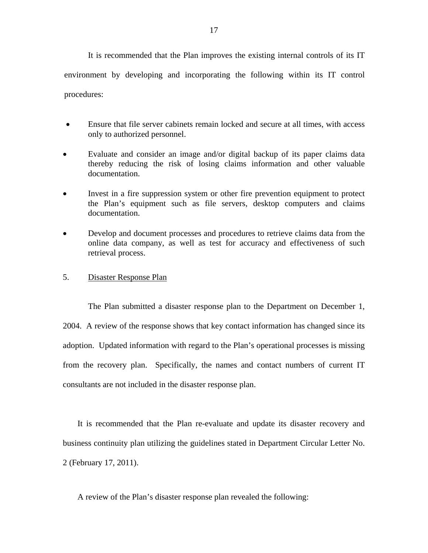It is recommended that the Plan improves the existing internal controls of its IT environment by developing and incorporating the following within its IT control procedures:

- Ensure that file server cabinets remain locked and secure at all times, with access only to authorized personnel.
- Evaluate and consider an image and/or digital backup of its paper claims data thereby reducing the risk of losing claims information and other valuable documentation.
- Invest in a fire suppression system or other fire prevention equipment to protect the Plan's equipment such as file servers, desktop computers and claims documentation.
- Develop and document processes and procedures to retrieve claims data from the online data company, as well as test for accuracy and effectiveness of such retrieval process.

#### 5. Disaster Response Plan

The Plan submitted a disaster response plan to the Department on December 1, 2004. A review of the response shows that key contact information has changed since its adoption. Updated information with regard to the Plan's operational processes is missing from the recovery plan. Specifically, the names and contact numbers of current IT consultants are not included in the disaster response plan.

It is recommended that the Plan re-evaluate and update its disaster recovery and business continuity plan utilizing the guidelines stated in Department Circular Letter No. 2 (February 17, 2011).

A review of the Plan's disaster response plan revealed the following: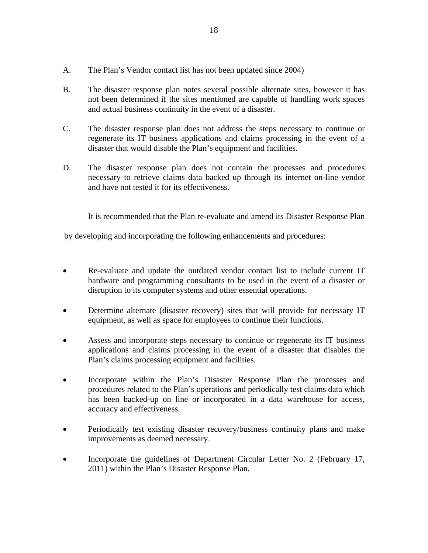- A. The Plan's Vendor contact list has not been updated since 2004)
- B. The disaster response plan notes several possible alternate sites, however it has not been determined if the sites mentioned are capable of handling work spaces and actual business continuity in the event of a disaster.
- C. The disaster response plan does not address the steps necessary to continue or regenerate its IT business applications and claims processing in the event of a disaster that would disable the Plan's equipment and facilities.
- D. The disaster response plan does not contain the processes and procedures necessary to retrieve claims data backed up through its internet on-line vendor and have not tested it for its effectiveness.

It is recommended that the Plan re-evaluate and amend its Disaster Response Plan

by developing and incorporating the following enhancements and procedures:

- Re-evaluate and update the outdated vendor contact list to include current IT hardware and programming consultants to be used in the event of a disaster or disruption to its computer systems and other essential operations.
- Determine alternate (disaster recovery) sites that will provide for necessary IT equipment, as well as space for employees to continue their functions.
- Assess and incorporate steps necessary to continue or regenerate its IT business applications and claims processing in the event of a disaster that disables the Plan's claims processing equipment and facilities.
- Incorporate within the Plan's Disaster Response Plan the processes and procedures related to the Plan's operations and periodically test claims data which has been backed-up on line or incorporated in a data warehouse for access, accuracy and effectiveness.
- Periodically test existing disaster recovery/business continuity plans and make improvements as deemed necessary.
- Incorporate the guidelines of Department Circular Letter No. 2 (February 17, 2011) within the Plan's Disaster Response Plan.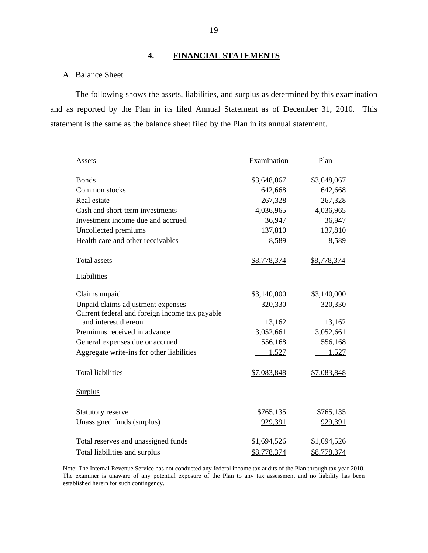#### **4. FINANCIAL STATEMENTS**

#### A. Balance Sheet

The following shows the assets, liabilities, and surplus as determined by this examination and as reported by the Plan in its filed Annual Statement as of December 31, 2010. This statement is the same as the balance sheet filed by the Plan in its annual statement.

| <b>Assets</b>                                  | Examination    | Plan        |  |
|------------------------------------------------|----------------|-------------|--|
| <b>Bonds</b>                                   | \$3,648,067    | \$3,648,067 |  |
| Common stocks                                  | 642,668        | 642,668     |  |
| Real estate                                    | 267,328        | 267,328     |  |
| Cash and short-term investments                | 4,036,965      | 4,036,965   |  |
| Investment income due and accrued              | 36,947         | 36,947      |  |
| Uncollected premiums                           | 137,810        | 137,810     |  |
| Health care and other receivables              | 8,589          | 8,589       |  |
| <b>Total assets</b>                            | \$8,778,374    | \$8,778,374 |  |
| Liabilities                                    |                |             |  |
| Claims unpaid                                  | \$3,140,000    | \$3,140,000 |  |
| Unpaid claims adjustment expenses              | 320,330        | 320,330     |  |
| Current federal and foreign income tax payable |                |             |  |
| and interest thereon                           | 13,162         | 13,162      |  |
| Premiums received in advance                   | 3,052,661      | 3,052,661   |  |
| General expenses due or accrued                | 556,168        | 556,168     |  |
| Aggregate write-ins for other liabilities      | 1,527          | 1,527       |  |
| <b>Total liabilities</b>                       | \$7,083,848    | \$7,083,848 |  |
| <b>Surplus</b>                                 |                |             |  |
| <b>Statutory reserve</b>                       | \$765,135      | \$765,135   |  |
| Unassigned funds (surplus)                     | <u>929,391</u> | 929,391     |  |
| Total reserves and unassigned funds            | \$1,694,526    | \$1,694,526 |  |
| Total liabilities and surplus                  | \$8,778,374    | \$8,778,374 |  |

Note: The Internal Revenue Service has not conducted any federal income tax audits of the Plan through tax year 2010. The examiner is unaware of any potential exposure of the Plan to any tax assessment and no liability has been established herein for such contingency.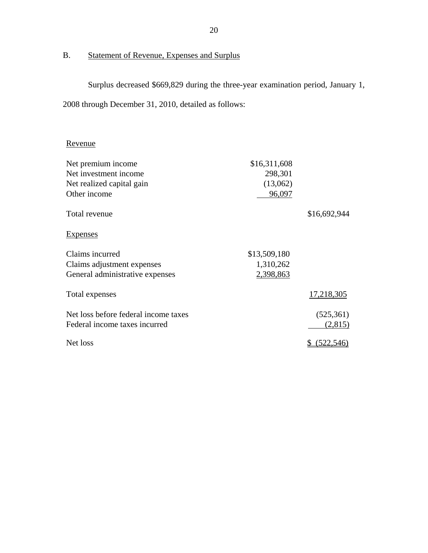# B. Statement of Revenue, Expenses and Surplus

Surplus decreased \$669,829 during the three-year examination period, January 1, 2008 through December 31, 2010, detailed as follows:

## Revenue

| Net premium income                   | \$16,311,608 |              |
|--------------------------------------|--------------|--------------|
| Net investment income                | 298,301      |              |
| Net realized capital gain            | (13,062)     |              |
| Other income                         | 96,097       |              |
| Total revenue                        |              | \$16,692,944 |
| Expenses                             |              |              |
| Claims incurred                      | \$13,509,180 |              |
| Claims adjustment expenses           | 1,310,262    |              |
| General administrative expenses      | 2,398,863    |              |
| Total expenses                       |              | 17,218,305   |
| Net loss before federal income taxes |              | (525, 361)   |
| Federal income taxes incurred        |              | (2,815)      |
| Net loss                             |              | 522,546)     |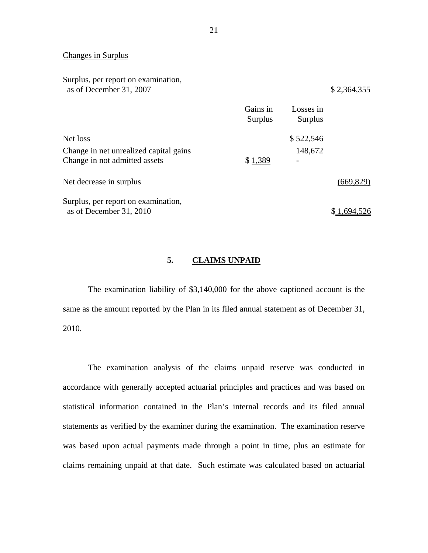#### Changes in Surplus

Surplus, per report on examination, as of December 31, 2007 \$ 2,364,355

|                                        | Gains in<br><b>Surplus</b> | Losses in<br><b>Surplus</b> |            |
|----------------------------------------|----------------------------|-----------------------------|------------|
| Net loss                               |                            | \$522,546                   |            |
| Change in net unrealized capital gains |                            | 148,672                     |            |
| Change in not admitted assets          | \$1,389                    |                             |            |
| Net decrease in surplus                |                            |                             | (669, 829) |
| Surplus, per report on examination,    |                            |                             |            |
| as of December 31, 2010                |                            |                             |            |

#### **5. CLAIMS UNPAID**

The examination liability of \$3,140,000 for the above captioned account is the same as the amount reported by the Plan in its filed annual statement as of December 31, 2010.

The examination analysis of the claims unpaid reserve was conducted in accordance with generally accepted actuarial principles and practices and was based on statistical information contained in the Plan's internal records and its filed annual statements as verified by the examiner during the examination. The examination reserve was based upon actual payments made through a point in time, plus an estimate for claims remaining unpaid at that date. Such estimate was calculated based on actuarial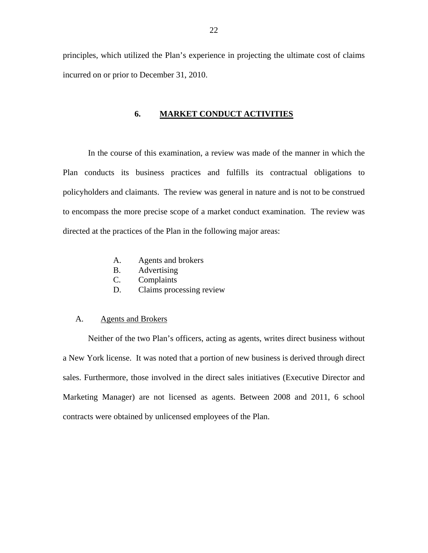<span id="page-23-0"></span>principles, which utilized the Plan's experience in projecting the ultimate cost of claims incurred on or prior to December 31, 2010.

#### **6. MARKET CONDUCT ACTIVITIES**

In the course of this examination, a review was made of the manner in which the Plan conducts its business practices and fulfills its contractual obligations to policyholders and claimants. The review was general in nature and is not to be construed to encompass the more precise scope of a market conduct examination. The review was directed at the practices of the Plan in the following major areas:

- A. Agents and brokers
- B. Advertising
- C. Complaints
- D. Claims processing review

#### A. Agents and Brokers

Neither of the two Plan's officers, acting as agents, writes direct business without a New York license. It was noted that a portion of new business is derived through direct sales. Furthermore, those involved in the direct sales initiatives (Executive Director and Marketing Manager) are not licensed as agents. Between 2008 and 2011, 6 school contracts were obtained by unlicensed employees of the Plan.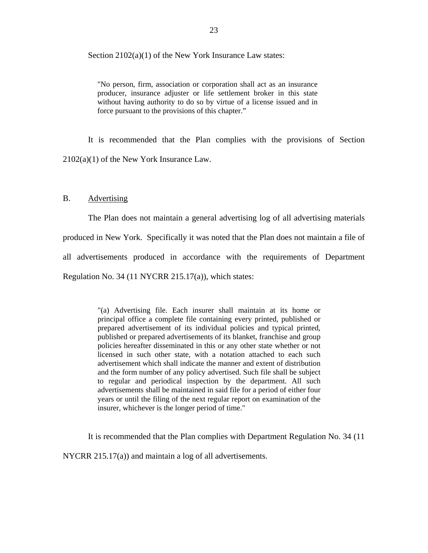<span id="page-24-0"></span>Section 2102(a)(1) of the New York Insurance Law states:

"No person, firm, association or corporation shall act as an insurance producer, insurance adjuster or life settlement broker in this state without having authority to do so by virtue of a license issued and in force pursuant to the provisions of this chapter."

It is recommended that the Plan complies with the provisions of Section 2102(a)(1) of the New York Insurance Law.

#### B. Advertising

The Plan does not maintain a general advertising log of all advertising materials

produced in New York. Specifically it was noted that the Plan does not maintain a file of

all advertisements produced in accordance with the requirements of Department

Regulation No. 34 (11 NYCRR 215.17(a)), which states:

"(a) Advertising file. Each insurer shall maintain at its home or principal office a complete file containing every printed, published or prepared advertisement of its individual policies and typical printed, published or prepared advertisements of its blanket, franchise and group policies hereafter disseminated in this or any other state whether or not licensed in such other state, with a notation attached to each such advertisement which shall indicate the manner and extent of distribution and the form number of any policy advertised. Such file shall be subject to regular and periodical inspection by the department. All such advertisements shall be maintained in said file for a period of either four years or until the filing of the next regular report on examination of the insurer, whichever is the longer period of time."

It is recommended that the Plan complies with Department Regulation No. 34 (11

NYCRR 215.17(a)) and maintain a log of all advertisements.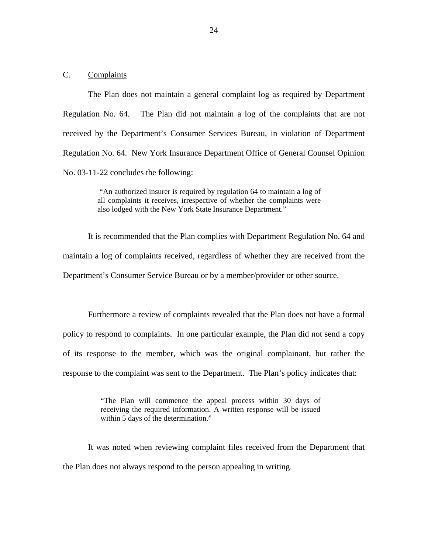#### <span id="page-25-0"></span>C. Complaints

The Plan does not maintain a general complaint log as required by Department Regulation No. 64. The Plan did not maintain a log of the complaints that are not received by the Department's Consumer Services Bureau, in violation of Department Regulation No. 64. New York Insurance Department Office of General Counsel Opinion No. 03-11-22 concludes the following:

> "An authorized insurer is required by regulation 64 to maintain a log of all complaints it receives, irrespective of whether the complaints were also lodged with the New York State Insurance Department."

It is recommended that the Plan complies with Department Regulation No. 64 and maintain a log of complaints received, regardless of whether they are received from the Department's Consumer Service Bureau or by a member/provider or other source.

Furthermore a review of complaints revealed that the Plan does not have a formal policy to respond to complaints. In one particular example, the Plan did not send a copy of its response to the member, which was the original complainant, but rather the response to the complaint was sent to the Department. The Plan's policy indicates that:

> "The Plan will commence the appeal process within 30 days of receiving the required information. A written response will be issued within 5 days of the determination."

It was noted when reviewing complaint files received from the Department that the Plan does not always respond to the person appealing in writing.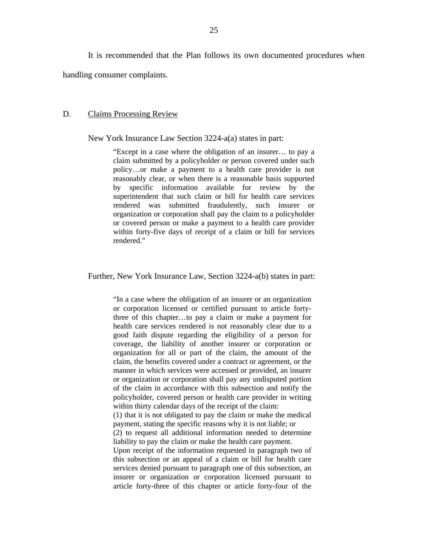<span id="page-26-0"></span>It is recommended that the Plan follows its own documented procedures when handling consumer complaints.

#### D. Claims Processing Review

New York Insurance Law Section 3224-a(a) states in part:

"Except in a case where the obligation of an insurer… to pay a claim submitted by a policyholder or person covered under such policy…or make a payment to a health care provider is not reasonably clear, or when there is a reasonable basis supported by specific information available for review by the superintendent that such claim or bill for health care services rendered was submitted fraudulently, such insurer or organization or corporation shall pay the claim to a policyholder or covered person or make a payment to a health care provider within forty-five days of receipt of a claim or bill for services rendered"

Further, New York Insurance Law, Section 3224-a(b) states in part:

"In a case where the obligation of an insurer or an organization or corporation licensed or certified pursuant to article fortythree of this chapter…to pay a claim or make a payment for health care services rendered is not reasonably clear due to a good faith dispute regarding the eligibility of a person for coverage, the liability of another insurer or corporation or organization for all or part of the claim, the amount of the claim, the benefits covered under a contract or agreement, or the manner in which services were accessed or provided, an insurer or organization or corporation shall pay any undisputed portion of the claim in accordance with this subsection and notify the policyholder, covered person or health care provider in writing within thirty calendar days of the receipt of the claim:

(1) that it is not obligated to pay the claim or make the medical payment, stating the specific reasons why it is not liable; or

(2) to request all additional information needed to determine liability to pay the claim or make the health care payment.

Upon receipt of the information requested in paragraph two of this subsection or an appeal of a claim or bill for health care services denied pursuant to paragraph one of this subsection, an insurer or organization or corporation licensed pursuant to article forty-three of this chapter or article forty-four of the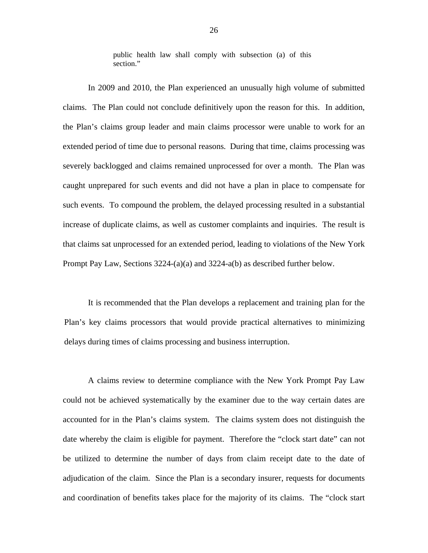public health law shall comply with subsection (a) of this section."

In 2009 and 2010, the Plan experienced an unusually high volume of submitted claims. The Plan could not conclude definitively upon the reason for this. In addition, the Plan's claims group leader and main claims processor were unable to work for an extended period of time due to personal reasons. During that time, claims processing was severely backlogged and claims remained unprocessed for over a month. The Plan was caught unprepared for such events and did not have a plan in place to compensate for such events. To compound the problem, the delayed processing resulted in a substantial increase of duplicate claims, as well as customer complaints and inquiries. The result is that claims sat unprocessed for an extended period, leading to violations of the New York Prompt Pay Law, Sections  $3224-(a)(a)$  and  $3224-(b)$  as described further below.

It is recommended that the Plan develops a replacement and training plan for the Plan's key claims processors that would provide practical alternatives to minimizing delays during times of claims processing and business interruption.

A claims review to determine compliance with the New York Prompt Pay Law could not be achieved systematically by the examiner due to the way certain dates are accounted for in the Plan's claims system. The claims system does not distinguish the date whereby the claim is eligible for payment. Therefore the "clock start date" can not be utilized to determine the number of days from claim receipt date to the date of adjudication of the claim. Since the Plan is a secondary insurer, requests for documents and coordination of benefits takes place for the majority of its claims. The "clock start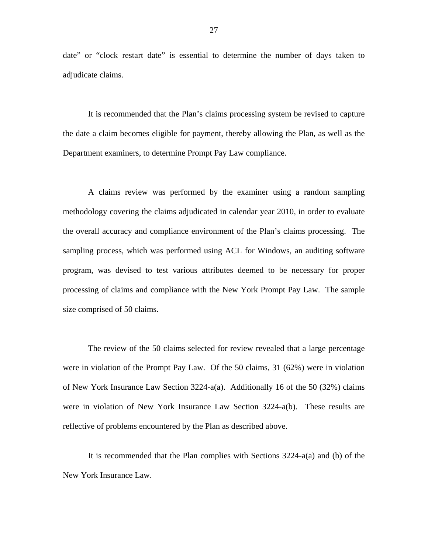date" or "clock restart date" is essential to determine the number of days taken to adjudicate claims.

It is recommended that the Plan's claims processing system be revised to capture the date a claim becomes eligible for payment, thereby allowing the Plan, as well as the Department examiners, to determine Prompt Pay Law compliance.

A claims review was performed by the examiner using a random sampling methodology covering the claims adjudicated in calendar year 2010, in order to evaluate the overall accuracy and compliance environment of the Plan's claims processing. The sampling process, which was performed using ACL for Windows, an auditing software program, was devised to test various attributes deemed to be necessary for proper processing of claims and compliance with the New York Prompt Pay Law. The sample size comprised of 50 claims.

The review of the 50 claims selected for review revealed that a large percentage were in violation of the Prompt Pay Law. Of the 50 claims, 31 (62%) were in violation of New York Insurance Law Section 3224-a(a). Additionally 16 of the 50 (32%) claims were in violation of New York Insurance Law Section 3224-a(b). These results are reflective of problems encountered by the Plan as described above.

It is recommended that the Plan complies with Sections 3224-a(a) and (b) of the New York Insurance Law.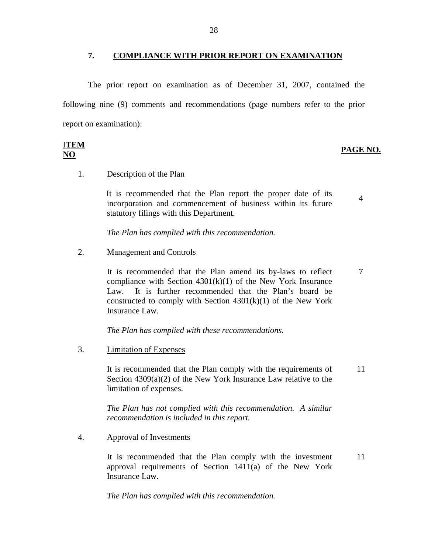#### **7. COMPLIANCE WITH PRIOR REPORT ON EXAMINATION**

The prior report on examination as of December 31, 2007, contained the following nine (9) comments and recommendations (page numbers refer to the prior report on examination):

| <b>ITEM</b>                                                                           |          |
|---------------------------------------------------------------------------------------|----------|
| the contract of the contract of the contract of the contract of the contract of<br>NO | PAGE NO. |
| $\sim$ $\sim$                                                                         |          |

Description of the Plan

1. Description of the Plan<br>It is recommended that the Plan report the proper date of its in is recommended that the Fran report the proper date of its<br>incorporation and commencement of business within its future statutory filings with this Department.

*The Plan has complied with this recommendation.* 

#### **Management and Controls**

2. Management and Controls<br>It is recommended that the Plan amend its by-laws to reflect 7 compliance with Section  $4301(k)(1)$  of the New York Insurance Law. It is further recommended that the Plan's board be constructed to comply with Section  $4301(k)(1)$  of the New York Insurance Law.

*The Plan has complied with these recommendations.* 

**Limitation of Expenses** 

3. Limitation of Expenses<br>It is recommended that the Plan comply with the requirements of 11 Section 4309(a)(2) of the New York Insurance Law relative to the limitation of expenses.

> *The Plan has not complied with this recommendation. A similar recommendation is included in this report.*

**Approval of Investments** 

4. Approval of Investments<br>It is recommended that the Plan comply with the investment 11 approval requirements of Section 1411(a) of the New York Insurance Law.

*The Plan has complied with this recommendation.*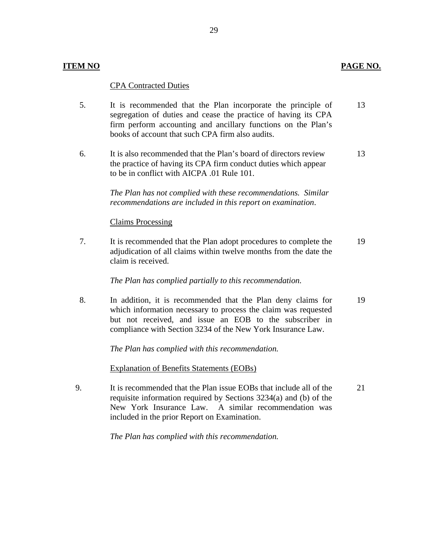#### **ITEM NO**

#### **CPA Contracted Duties**

- 5. It is recommended that the Plan incorporate the principle of segregation of duties and cease the practice of having its CPA firm perform accounting and ancillary functions on the Plan's books of account that such CPA firm also audits. 13
- 6. It is also recommended that the Plan's board of directors review the practice of having its CPA firm conduct duties which appear to be in conflict with AICPA .01 Rule 101. 13

*The Plan has not complied with these recommendations. Similar recommendations are included in this report on examination*.

#### **Claims Processing**

7. It is recommended that the Plan adopt procedures to complete the adjudication of all claims within twelve months from the date the claim is received. 19

*The Plan has complied partially to this recommendation.* 

8. In addition, it is recommended that the Plan deny claims for which information necessary to process the claim was requested but not received, and issue an EOB to the subscriber in compliance with Section 3234 of the New York Insurance Law. 19

*The Plan has complied with this recommendation.* 

**Explanation of Benefits Statements (EOBs)** 

9. It is recommended that the Plan issue EOBs that include all of the requisite information required by Sections 3234(a) and (b) of the New York Insurance Law. A similar recommendation was included in the prior Report on Examination. 21

*The Plan has complied with this recommendation.* 

### PAGE NO.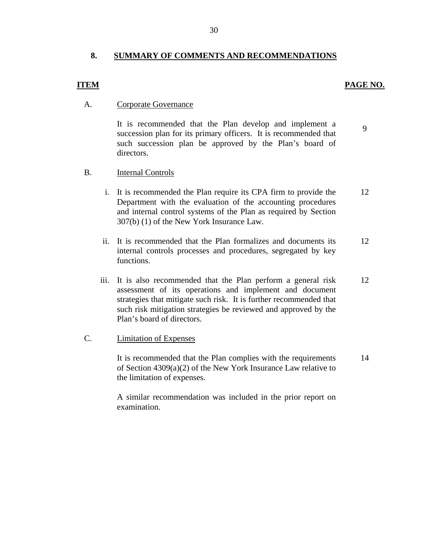#### **8. SUMMARY OF COMMENTS AND RECOMMENDATIONS**

#### PAGE NO.

9

#### **ITEM**

#### **Corporate Governance**

A. Corporate Governance<br>It is recommended that the Plan develop and implement a succession plan for its primary officers. It is recommended that such succession plan be approved by the Plan's board of directors.

#### B. **Internal Controls**

- i. It is recommended the Plan require its CPA firm to provide the Department with the evaluation of the accounting procedures and internal control systems of the Plan as required by Section 307(b) (1) of the New York Insurance Law. 12
- ii. It is recommended that the Plan formalizes and documents its internal controls processes and procedures, segregated by key functions. 12
- iii. It is also recommended that the Plan perform a general risk assessment of its operations and implement and document strategies that mitigate such risk. It is further recommended that such risk mitigation strategies be reviewed and approved by the Plan's board of directors. 12

#### **Limitation of Expenses**

C. Limitation of Expenses<br>It is recommended that the Plan complies with the requirements of Section 4309(a)(2) of the New York Insurance Law relative to the limitation of expenses. 14

> A similar recommendation was included in the prior report on examination.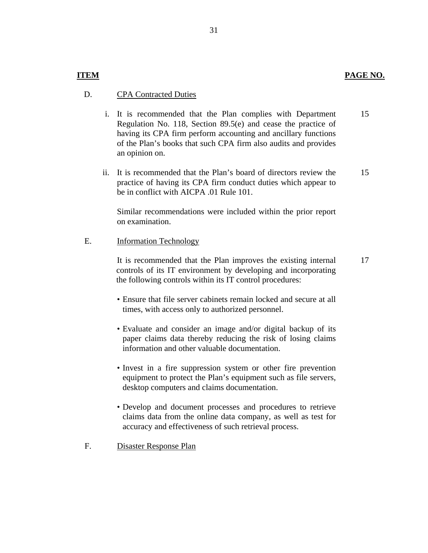#### **CPA Contracted Duties**

- D. CPA Contracted Duties<br>i. It is recommended that the Plan complies with Department Regulation No. 118, Section 89.5(e) and cease the practice of having its CPA firm perform accounting and ancillary functions of the Plan's books that such CPA firm also audits and provides an opinion on. 15
	- ii. It is recommended that the Plan's board of directors review the practice of having its CPA firm conduct duties which appear to be in conflict with AICPA .01 Rule 101. 15

Similar recommendations were included within the prior report on examination.

#### **Information Technology**

E. Information Technology<br>It is recommended that the Plan improves the existing internal controls of its IT environment by developing and incorporating the following controls within its IT control procedures: 17

- Ensure that file server cabinets remain locked and secure at all times, with access only to authorized personnel.
- Evaluate and consider an image and/or digital backup of its paper claims data thereby reducing the risk of losing claims information and other valuable documentation.
- Invest in a fire suppression system or other fire prevention equipment to protect the Plan's equipment such as file servers, desktop computers and claims documentation.
- Develop and document processes and procedures to retrieve claims data from the online data company, as well as test for accuracy and effectiveness of such retrieval process.
- F. Disaster Response Plan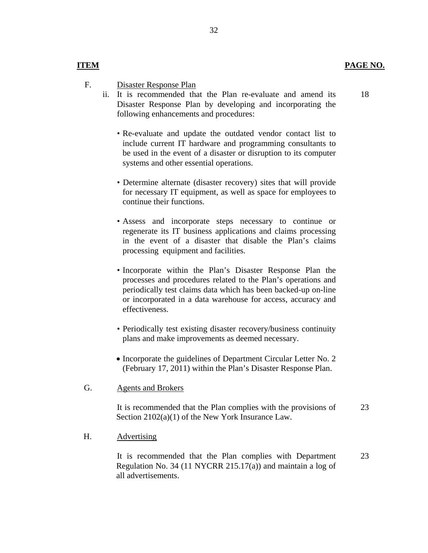18

#### **ITEM**

- Disaster Response Plan F.
	- Disaster Response Plan<br>ii. It is recommended that the Plan re-evaluate and amend its Disaster Response Plan by developing and incorporating the following enhancements and procedures:
		- Re-evaluate and update the outdated vendor contact list to include current IT hardware and programming consultants to be used in the event of a disaster or disruption to its computer systems and other essential operations.
		- Determine alternate (disaster recovery) sites that will provide for necessary IT equipment, as well as space for employees to continue their functions.
		- Assess and incorporate steps necessary to continue or regenerate its IT business applications and claims processing in the event of a disaster that disable the Plan's claims processing equipment and facilities.
		- Incorporate within the Plan's Disaster Response Plan the processes and procedures related to the Plan's operations and periodically test claims data which has been backed-up on-line or incorporated in a data warehouse for access, accuracy and effectiveness.
		- Periodically test existing disaster recovery/business continuity plans and make improvements as deemed necessary.
		- Incorporate the guidelines of Department Circular Letter No. 2 (February 17, 2011) within the Plan's Disaster Response Plan.

#### **Agents and Brokers**

G. Agents and Brokers<br>It is recommended that the Plan complies with the provisions of Section 2102(a)(1) of the New York Insurance Law. 23

#### Advertising

H. Advertising<br>It is recommended that the Plan complies with Department Regulation No. 34 (11 NYCRR 215.17(a)) and maintain a log of all advertisements. 23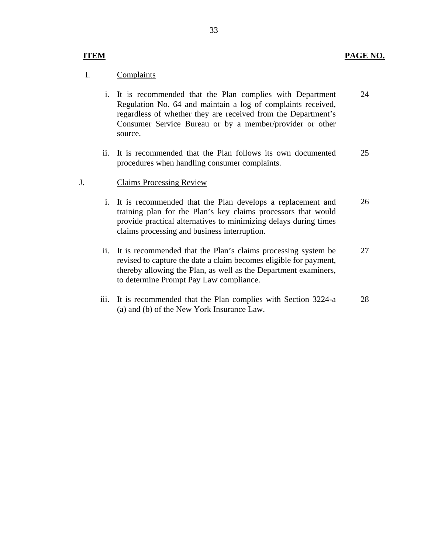#### Complaints

- I. Complaints<br>i. It is recommended that the Plan complies with Department Regulation No. 64 and maintain a log of complaints received, regardless of whether they are received from the Department's Consumer Service Bureau or by a member/provider or other source. 24
	- ii. It is recommended that the Plan follows its own documented procedures when handling consumer complaints. 25

#### J. Claims Processing Review

- i. It is recommended that the Plan develops a replacement and training plan for the Plan's key claims processors that would provide practical alternatives to minimizing delays during times claims processing and business interruption. 26
- ii. It is recommended that the Plan's claims processing system be revised to capture the date a claim becomes eligible for payment, thereby allowing the Plan, as well as the Department examiners, to determine Prompt Pay Law compliance. 27
- iii. It is recommended that the Plan complies with Section 3224-a (a) and (b) of the New York Insurance Law. 28